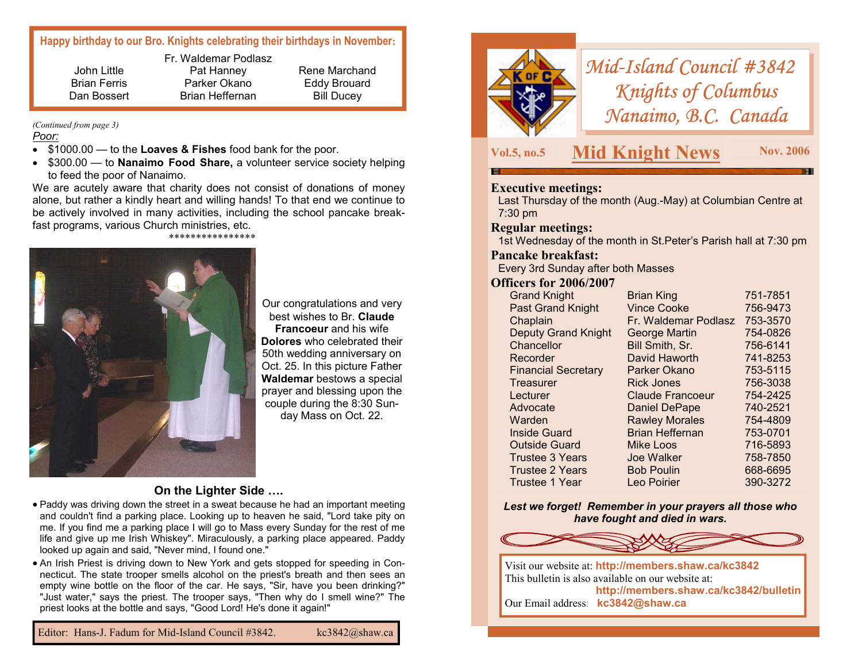# **Happy birthday to our Bro. Knights celebrating their birthdays in November:**

John Little Brian Ferris Dan Bossert Fr. Waldemar Podlasz Pat Hanney Parker Okano Brian Heffernan

Rene Marchand Eddy Brouard Bill Ducey

#### *Poor: (Continued from page 3)*

- \$1000.00 to the **Loaves & Fishes** food bank for the poor.
- \$300.00 to **Nanaimo Food Share,** a volunteer service society helping to feed the poor of Nanaimo.

We are acutely aware that charity does not consist of donations of money alone, but rather a kindly heart and willing hands! To that end we continue to be actively involved in many activities, including the school pancake breakfast programs, various Church ministries, etc.

#### \*\*\*\*\*\*\*\*\*\*\*\*\*\*\*\*



Our congratulations and very best wishes to Br. **Claude Francoeur** and his wife **Dolores** who celebrated their 50th wedding anniversary on Oct. 25. In this picture Father **Waldemar** bestows a special prayer and blessing upon the couple during the 8:30 Sunday Mass on Oct. 22.

#### **On the Lighter Side ….**

- Paddy was driving down the street in a sweat because he had an important meeting and couldn't find a parking place. Looking up to heaven he said, "Lord take pity on me. If you find me a parking place I will go to Mass every Sunday for the rest of me life and give up me Irish Whiskey". Miraculously, a parking place appeared. Paddy looked up again and said, "Never mind, I found one."
- An Irish Priest is driving down to New York and gets stopped for speeding in Connecticut. The state trooper smells alcohol on the priest's breath and then sees an empty wine bottle on the floor of the car. He says, "Sir, have you been drinking?" "Just water," says the priest. The trooper says, "Then why do I smell wine?" The priest looks at the bottle and says, "Good Lord! He's done it again!"



# *Mid-Island Council #3842 Knights of Columbus Nanaimo, B.C. Canada*

# **Vol.5, no.5 Mid Knight News Nov. 2006**

### **Executive meetings:**

Last Thursday of the month (Aug.-May) at Columbian Centre at 7:30 pm

#### **Regular meetings:**

1st Wednesday of the month in St.Peter's Parish hall at 7:30 pm

#### **Pancake breakfast:**

Every 3rd Sunday after both Masses

#### **Officers for 2006/2007**

| <b>Grand Knight</b>        | <b>Brian King</b>       | 751-7851 |
|----------------------------|-------------------------|----------|
| <b>Past Grand Knight</b>   | <b>Vince Cooke</b>      | 756-9473 |
| Chaplain                   | Fr. Waldemar Podlasz    | 753-3570 |
| <b>Deputy Grand Knight</b> | <b>George Martin</b>    | 754-0826 |
| Chancellor                 | Bill Smith, Sr.         | 756-6141 |
| Recorder                   | David Haworth           | 741-8253 |
| <b>Financial Secretary</b> | Parker Okano            | 753-5115 |
| Treasurer                  | <b>Rick Jones</b>       | 756-3038 |
| Lecturer                   | <b>Claude Francoeur</b> | 754-2425 |
| Advocate                   | <b>Daniel DePape</b>    | 740-2521 |
| Warden                     | <b>Rawley Morales</b>   | 754-4809 |
| Inside Guard               | <b>Brian Heffernan</b>  | 753-0701 |
| <b>Outside Guard</b>       | Mike Loos               | 716-5893 |
| <b>Trustee 3 Years</b>     | Joe Walker              | 758-7850 |
| <b>Trustee 2 Years</b>     | <b>Bob Poulin</b>       | 668-6695 |
| Trustee 1 Year             | Leo Poirier             | 390-3272 |
|                            |                         |          |

#### *Lest we forget! Remember in your prayers all those who have fought and died in wars.*



Visit our website at: **http://members.shaw.ca/kc3842**  This bulletin is also available on our website at: **http://members.shaw.ca/kc3842/bulletin**  Our Email address: **kc3842@shaw.ca**